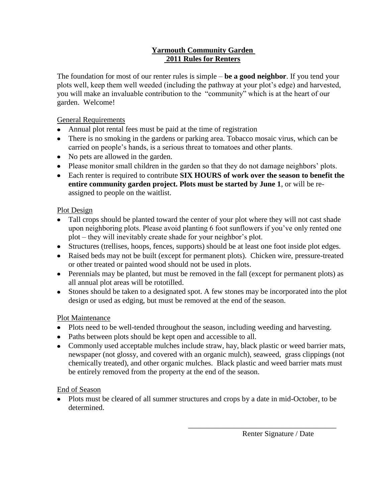### **Yarmouth Community Garden 2011 Rules for Renters**

The foundation for most of our renter rules is simple – **be a good neighbor**. If you tend your plots well, keep them well weeded (including the pathway at your plot's edge) and harvested, you will make an invaluable contribution to the "community" which is at the heart of our garden. Welcome!

#### General Requirements

- Annual plot rental fees must be paid at the time of registration
- There is no smoking in the gardens or parking area. Tobacco mosaic virus, which can be carried on people's hands, is a serious threat to tomatoes and other plants.
- No pets are allowed in the garden.
- Please monitor small children in the garden so that they do not damage neighbors' plots.
- Each renter is required to contribute **SIX HOURS of work over the season to benefit the entire community garden project. Plots must be started by June 1**, or will be reassigned to people on the waitlist.

#### Plot Design

- Tall crops should be planted toward the center of your plot where they will not cast shade upon neighboring plots. Please avoid planting 6 foot sunflowers if you've only rented one plot – they will inevitably create shade for your neighbor's plot.
- Structures (trellises, hoops, fences, supports) should be at least one foot inside plot edges.
- Raised beds may not be built (except for permanent plots). Chicken wire, pressure-treated or other treated or painted wood should not be used in plots.
- Perennials may be planted, but must be removed in the fall (except for permanent plots) as all annual plot areas will be rototilled.
- Stones should be taken to a designated spot. A few stones may be incorporated into the plot design or used as edging, but must be removed at the end of the season.

### Plot Maintenance

- Plots need to be well-tended throughout the season, including weeding and harvesting.
- Paths between plots should be kept open and accessible to all.
- Commonly used acceptable mulches include straw, hay, black plastic or weed barrier mats, newspaper (not glossy, and covered with an organic mulch), seaweed, grass clippings (not chemically treated), and other organic mulches. Black plastic and weed barrier mats must be entirely removed from the property at the end of the season.

#### End of Season

• Plots must be cleared of all summer structures and crops by a date in mid-October, to be determined.

 $\overline{\phantom{a}}$  , which is a set of the set of the set of the set of the set of the set of the set of the set of the set of the set of the set of the set of the set of the set of the set of the set of the set of the set of th